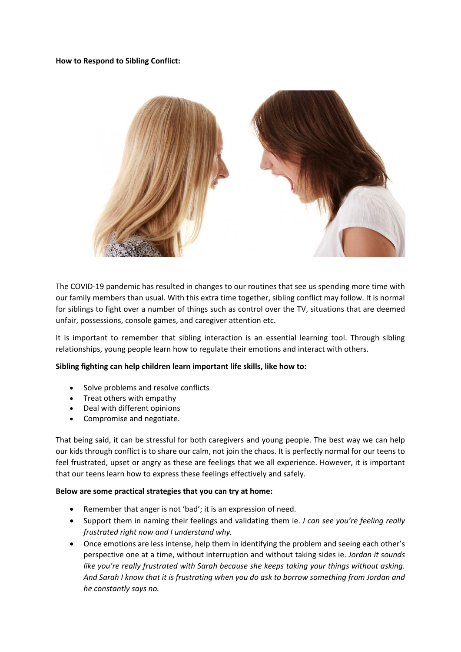## **How to Respond to Sibling Conflict:**



The COVID-19 pandemic has resulted in changes to our routines that see us spending more time with our family members than usual. With this extra time together, sibling conflict may follow. It is normal for siblings to fight over a number of things such as control over the TV, situations that are deemed unfair, possessions, console games, and caregiver attention etc.

It is important to remember that sibling interaction is an essential learning tool. Through sibling relationships, young people learn how to regulate their emotions and interact with others.

## **Sibling fighting can help children learn important life skills, like how to:**

- Solve problems and resolve conflicts
- Treat others with empathy
- Deal with different opinions
- Compromise and negotiate.

That being said, it can be stressful for both caregivers and young people. The best way we can help our kids through conflict is to share our calm, not join the chaos. It is perfectly normal for our teens to feel frustrated, upset or angry as these are feelings that we all experience. However, it is important that our teens learn how to express these feelings effectively and safely.

## **Below are some practical strategies that you can try at home:**

- Remember that anger is not 'bad'; it is an expression of need.
- Support them in naming their feelings and validating them ie. *I can see you're feeling really frustrated right now and I understand why.*
- Once emotions are less intense, help them in identifying the problem and seeing each other's perspective one at a time, without interruption and without taking sides ie. *Jordan it sounds like you're really frustrated with Sarah because she keeps taking your things without asking. And Sarah I know that it is frustrating when you do ask to borrow something from Jordan and he constantly says no.*